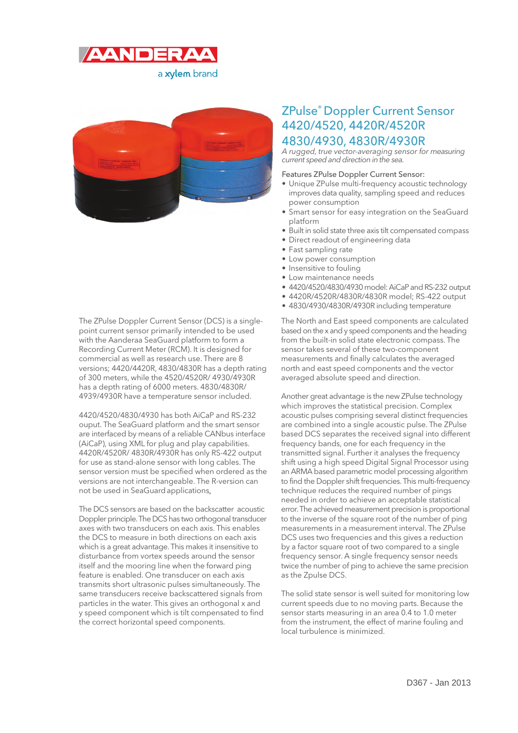



The ZPulse Doppler Current Sensor (DCS) is a singlepoint current sensor primarily intended to be used with the Aanderaa SeaGuard platform to form a Recording Current Meter (RCM). It is designed for commercial as well as research use. There are 8 versions; 4420/4420R, 4830/4830R has a depth rating of 300 meters, while the 4520/4520R/ 4930/4930R has a depth rating of 6000 meters. 4830/4830R/ 4939/4930R have a temperature sensor included.

4420/4520/4830/4930 has both AiCaP and RS-232 ouput. The SeaGuard platform and the smart sensor are interfaced by means of a reliable CANbus interface (AiCaP), using XML for plug and play capabilities. 4420R/4520R/ 4830R/4930R has only RS-422 output for use as stand-alone sensor with long cables. The sensor version must be specified when ordered as the versions are not interchangeable. The R-version can not be used in SeaGuard applications.

The DCS sensors are based on the backscatter acoustic Doppler principle. The DCS has two orthogonal transducer axes with two transducers on each axis. This enables the DCS to measure in both directions on each axis which is a great advantage. This makes it insensitive to disturbance from vortex speeds around the sensor itself and the mooring line when the forward ping feature is enabled. One transducer on each axis transmits short ultrasonic pulses simultaneously. The same transducers receive backscattered signals from particles in the water. This gives an orthogonal x and y speed component which is tilt compensated to find the correct horizontal speed components.

## ZPulse® Doppler Current Sensor 4420/4520, 4420R/4520R 4830/4930, 4830R/4930R

A rugged, true vector-averaging sensor for measuring current speed and direction in the sea.

## Features ZPulse Doppler Current Sensor:

- Unique ZPulse multi-frequency acoustic technology improves data quality, sampling speed and reduces power consumption
- Smart sensor for easy integration on the SeaGuard platform
- Built in solid state three axis tilt compensated compass
- Direct readout of engineering data
- Fast sampling rate
- Low power consumption
- Insensitive to fouling
- Low maintenance needs
- 4420/4520/4830/4930 model: AiCaP and RS-232 output
- 4420R/4520R/4830R/4830R model; RS-422 output
- 4830/4930/4830R/4930R including temperature

The North and East speed components are calculated based on the x and y speed components and the heading from the built-in solid state electronic compass. The sensor takes several of these two-component measurements and finally calculates the averaged north and east speed components and the vector averaged absolute speed and direction.

Another great advantage is the new ZPulse technology which improves the statistical precision. Complex acoustic pulses comprising several distinct frequencies are combined into a single acoustic pulse. The ZPulse based DCS separates the received signal into different frequency bands, one for each frequency in the transmitted signal. Further it analyses the frequency shift using a high speed Digital Signal Processor using an ARMA based parametric model processing algorithm to find the Doppler shift frequencies. This multi-frequency technique reduces the required number of pings needed in order to achieve an acceptable statistical error. The achieved measurement precision is proportional to the inverse of the square root of the number of ping measurements in a measurement interval. The ZPulse DCS uses two frequencies and this gives a reduction by a factor square root of two compared to a single frequency sensor. A single frequency sensor needs twice the number of ping to achieve the same precision as the Zpulse DCS.

The solid state sensor is well suited for monitoring low current speeds due to no moving parts. Because the sensor starts measuring in an area 0.4 to 1.0 meter from the instrument, the effect of marine fouling and local turbulence is minimized.